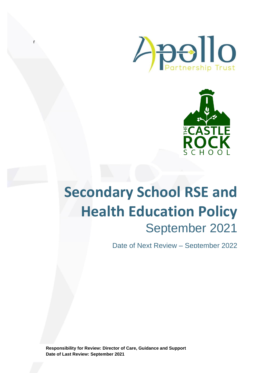



# **Secondary School RSE and Health Education Policy** September 2021

Date of Next Review – September 2022

**Responsibility for Review: Director of Care, Guidance and Support Date of Last Review: September 2021**

r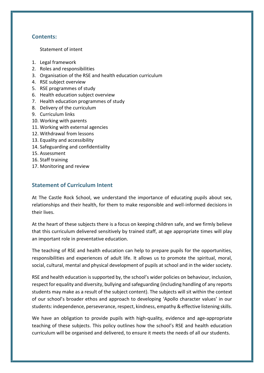# **Contents:**

Statement of intent

- 1. Legal framework
- 2. Roles and responsibilities
- 3. Organisation of the RSE and health education curriculum
- 4. RSE subject overview
- 5. RSE programmes of study
- 6. Health education subject overview
- 7. Health education programmes of study
- 8. Delivery of the curriculum
- 9. Curriculum links
- 10. Working with parents
- 11. Working with external agencies
- 12. Withdrawal from lessons
- 13. Equality and accessibility
- 14. Safeguarding and confidentiality
- 15. Assessment
- 16. Staff training
- 17. Monitoring and review

# **Statement of Curriculum Intent**

At The Castle Rock School, we understand the importance of educating pupils about sex, relationships and their health, for them to make responsible and well-informed decisions in their lives.

At the heart of these subjects there is a focus on keeping children safe, and we firmly believe that this curriculum delivered sensitively by trained staff, at age appropriate times will play an important role in preventative education.

The teaching of RSE and health education can help to prepare pupils for the opportunities, responsibilities and experiences of adult life. It allows us to promote the spiritual, moral, social, cultural, mental and physical development of pupils at school and in the wider society.

RSE and health education is supported by, the school's wider policies on behaviour, inclusion, respect for equality and diversity, bullying and safeguarding (including handling of any reports students may make as a result of the subject content). The subjects will sit within the context of our school's broader ethos and approach to developing 'Apollo character values' in our students: independence, perseverance, respect, kindness, empathy & effective listening skills.

We have an obligation to provide pupils with high-quality, evidence and age-appropriate teaching of these subjects. This policy outlines how the school's RSE and health education curriculum will be organised and delivered, to ensure it meets the needs of all our students.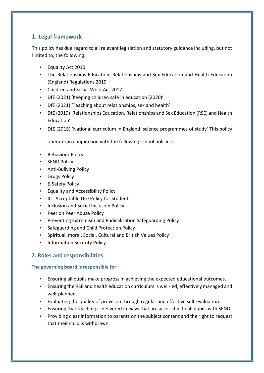# **1. Legal framework**

This policy has due regard to all relevant legislation and statutory guidance including, but not limited to, the following:

- Equality Act 2010
- The Relationships Education, Relationships and Sex Education and Health Education (England) Regulations 2019
- Children and Social Work Act 2017
- DfE (2021) 'Keeping children safe in education (2020)'
- DfE (2021) 'Teaching about relationships, sex and health'
- DfE (2019) 'Relationships Education, Relationships and Sex Education (RSE) and Health Education'
- DfE (2015) 'National curriculum in England: science programmes of study' This policy

operates in conjunction with the following school policies:

- Behaviour Policy
- SEND Policy
- Anti-Bullying Policy
- Drugs Policy
- E-Safety Policy
- Equality and Accessibility Policy
- ICT Acceptable Use Policy for Students
- Inclusion and Social Inclusion Policy
- Peer on Peer Abuse Policy
- Preventing Extremism and Radicalisation Safeguarding Policy
- Safeguarding and Child Protection Policy
- Spiritual, moral, Social, Cultural and British Values Policy
- Information Security Policy

# **2. Roles and responsibilities**

## **The governing board is responsible for:**

- Ensuring all pupils make progress in achieving the expected educational outcomes.
- Ensuring the RSE and health education curriculum is well-led, effectively managed and well-planned.
- Evaluating the quality of provision through regular and effective self-evaluation.
- Ensuring that teaching is delivered in ways that are accessible to all pupils with SEND.
- Providing clear information to parents on the subject content and the right to request that their child is withdrawn.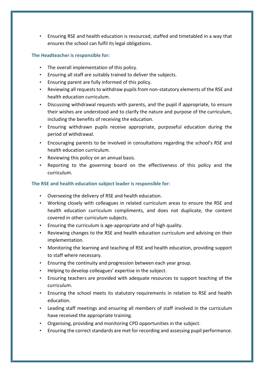• Ensuring RSE and health education is resourced, staffed and timetabled in a way that ensures the school can fulfil its legal obligations.

## **The Headteacher is responsible for:**

- The overall implementation of this policy.
- Ensuring all staff are suitably trained to deliver the subjects.
- Ensuring parent are fully informed of this policy.
- Reviewing all requests to withdraw pupils from non-statutory elements of the RSE and health education curriculum.
- Discussing withdrawal requests with parents, and the pupil if appropriate, to ensure their wishes are understood and to clarify the nature and purpose of the curriculum, including the benefits of receiving the education.
- Ensuring withdrawn pupils receive appropriate, purposeful education during the period of withdrawal.
- Encouraging parents to be involved in consultations regarding the school's RSE and health education curriculum.
- Reviewing this policy on an annual basis.
- Reporting to the governing board on the effectiveness of this policy and the curriculum.

## **The RSE and health education subject leader is responsible for:**

- Overseeing the delivery of RSE and health education.
- Working closely with colleagues in related curriculum areas to ensure the RSE and health education curriculum compliments, and does not duplicate, the content covered in other curriculum subjects.
- Ensuring the curriculum is age-appropriate and of high quality.
- Reviewing changes to the RSE and health education curriculum and advising on their implementation.
- Monitoring the learning and teaching of RSE and health education, providing support to staff where necessary.
- Ensuring the continuity and progression between each year group.
- Helping to develop colleagues' expertise in the subject.
- Ensuring teachers are provided with adequate resources to support teaching of the curriculum.
- Ensuring the school meets its statutory requirements in relation to RSE and health education.
- Leading staff meetings and ensuring all members of staff involved in the curriculum have received the appropriate training.
- Organising, providing and monitoring CPD opportunities in the subject.
- Ensuring the correct standards are met for recording and assessing pupil performance.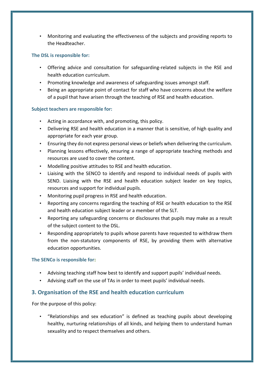• Monitoring and evaluating the effectiveness of the subjects and providing reports to the Headteacher.

## **The DSL is responsible for:**

- Offering advice and consultation for safeguarding-related subjects in the RSE and health education curriculum.
- Promoting knowledge and awareness of safeguarding issues amongst staff.
- Being an appropriate point of contact for staff who have concerns about the welfare of a pupil that have arisen through the teaching of RSE and health education.

## **Subject teachers are responsible for:**

- Acting in accordance with, and promoting, this policy.
- Delivering RSE and health education in a manner that is sensitive, of high quality and appropriate for each year group.
- Ensuring they do not express personal views or beliefs when delivering the curriculum.
- Planning lessons effectively, ensuring a range of appropriate teaching methods and resources are used to cover the content.
- Modelling positive attitudes to RSE and health education.
- Liaising with the SENCO to identify and respond to individual needs of pupils with SEND. Liaising with the RSE and health education subject leader on key topics, resources and support for individual pupils.
- Monitoring pupil progress in RSE and health education.
- Reporting any concerns regarding the teaching of RSE or health education to the RSE and health education subject leader or a member of the SLT.
- Reporting any safeguarding concerns or disclosures that pupils may make as a result of the subject content to the DSL.
- Responding appropriately to pupils whose parents have requested to withdraw them from the non-statutory components of RSE, by providing them with alternative education opportunities.

## **The SENCo is responsible for:**

- Advising teaching staff how best to identify and support pupils' individual needs.
- Advising staff on the use of TAs in order to meet pupils' individual needs.

# **3. Organisation of the RSE and health education curriculum**

For the purpose of this policy:

• "Relationships and sex education" is defined as teaching pupils about developing healthy, nurturing relationships of all kinds, and helping them to understand human sexuality and to respect themselves and others.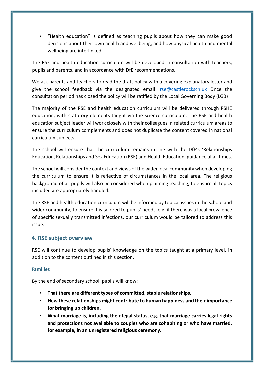• "Health education" is defined as teaching pupils about how they can make good decisions about their own health and wellbeing, and how physical health and mental wellbeing are interlinked.

The RSE and health education curriculum will be developed in consultation with teachers, pupils and parents, and in accordance with DfE recommendations.

We ask parents and teachers to read the draft policy with a covering explanatory letter and give the school feedback via the designated email: [rse@castlerocksch.uk](mailto:rse@castlerocksch.uk) Once the consultation period has closed the policy will be ratified by the Local Governing Body (LGB)

The majority of the RSE and health education curriculum will be delivered through PSHE education, with statutory elements taught via the science curriculum. The RSE and health education subject leader will work closely with their colleagues in related curriculum areas to ensure the curriculum complements and does not duplicate the content covered in national curriculum subjects.

The school will ensure that the curriculum remains in line with the DfE's 'Relationships Education, Relationships and Sex Education (RSE) and Health Education' guidance at all times.

The school will consider the context and views of the wider local community when developing the curriculum to ensure it is reflective of circumstances in the local area. The religious background of all pupils will also be considered when planning teaching, to ensure all topics included are appropriately handled.

The RSE and health education curriculum will be informed by topical issues in the school and wider community, to ensure it is tailored to pupils' needs, e.g. if there was a local prevalence of specific sexually transmitted infections, our curriculum would be tailored to address this issue.

# **4. RSE subject overview**

RSE will continue to develop pupils' knowledge on the topics taught at a primary level, in addition to the content outlined in this section.

## **Families**

- **That there are different types of committed, stable relationships.**
- **How these relationships might contribute to human happiness and their importance for bringing up children.**
- **What marriage is, including their legal status, e.g. that marriage carries legal rights and protections not available to couples who are cohabiting or who have married, for example, in an unregistered religious ceremony.**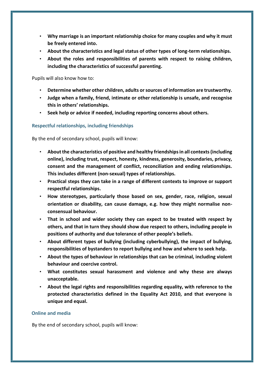- **Why marriage is an important relationship choice for many couples and why it must be freely entered into.**
- **About the characteristics and legal status of other types of long-term relationships.**
- **About the roles and responsibilities of parents with respect to raising children, including the characteristics of successful parenting.**

Pupils will also know how to:

- **Determine whether other children, adults or sources of information are trustworthy.**
- **Judge when a family, friend, intimate or other relationship is unsafe, and recognise this in others' relationships.**
- **Seek help or advice if needed, including reporting concerns about others.**

#### **Respectful relationships, including friendships**

By the end of secondary school, pupils will know:

- **About the characteristics of positive and healthy friendships in all contexts (including online), including trust, respect, honesty, kindness, generosity, boundaries, privacy, consent and the management of conflict, reconciliation and ending relationships. This includes different (non-sexual) types of relationships.**
- **Practical steps they can take in a range of different contexts to improve or support respectful relationships.**
- **How stereotypes, particularly those based on sex, gender, race, religion, sexual orientation or disability, can cause damage, e.g. how they might normalise nonconsensual behaviour.**
- **That in school and wider society they can expect to be treated with respect by others, and that in turn they should show due respect to others, including people in positions of authority and due tolerance of other people's beliefs.**
- **About different types of bullying (including cyberbullying), the impact of bullying, responsibilities of bystanders to report bullying and how and where to seek help.**
- **About the types of behaviour in relationships that can be criminal, including violent behaviour and coercive control.**
- **What constitutes sexual harassment and violence and why these are always unacceptable.**
- **About the legal rights and responsibilities regarding equality, with reference to the protected characteristics defined in the Equality Act 2010, and that everyone is unique and equal.**

#### **Online and media**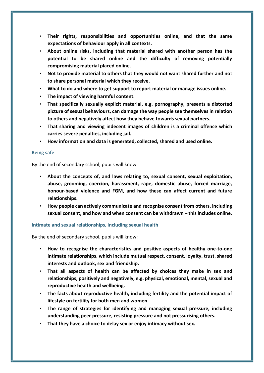- **Their rights, responsibilities and opportunities online, and that the same expectations of behaviour apply in all contexts.**
- **About online risks, including that material shared with another person has the potential to be shared online and the difficulty of removing potentially compromising material placed online.**
- **Not to provide material to others that they would not want shared further and not to share personal material which they receive.**
- **What to do and where to get support to report material or manage issues online.**
- **The impact of viewing harmful content.**
- **That specifically sexually explicit material, e.g. pornography, presents a distorted picture of sexual behaviours, can damage the way people see themselves in relation to others and negatively affect how they behave towards sexual partners.**
- **That sharing and viewing indecent images of children is a criminal offence which carries severe penalties, including jail.**
- **How information and data is generated, collected, shared and used online.**

#### **Being safe**

By the end of secondary school, pupils will know:

- **About the concepts of, and laws relating to, sexual consent, sexual exploitation, abuse, grooming, coercion, harassment, rape, domestic abuse, forced marriage, honour-based violence and FGM, and how these can affect current and future relationships.**
- **How people can actively communicate and recognise consent from others, including sexual consent, and how and when consent can be withdrawn – this includes online.**

#### **Intimate and sexual relationships, including sexual health**

- **How to recognise the characteristics and positive aspects of healthy one-to-one intimate relationships, which include mutual respect, consent, loyalty, trust, shared interests and outlook, sex and friendship.**
- **That all aspects of health can be affected by choices they make in sex and relationships, positively and negatively, e.g. physical, emotional, mental, sexual and reproductive health and wellbeing.**
- **The facts about reproductive health, including fertility and the potential impact of lifestyle on fertility for both men and women.**
- **The range of strategies for identifying and managing sexual pressure, including understanding peer pressure, resisting pressure and not pressurising others.**
- **That they have a choice to delay sex or enjoy intimacy without sex.**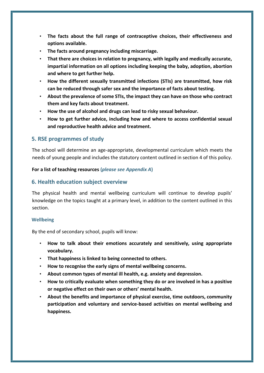- **The facts about the full range of contraceptive choices, their effectiveness and options available.**
- **The facts around pregnancy including miscarriage.**
- **That there are choices in relation to pregnancy, with legally and medically accurate, impartial information on all options including keeping the baby, adoption, abortion and where to get further help.**
- **How the different sexually transmitted infections (STIs) are transmitted, how risk can be reduced through safer sex and the importance of facts about testing.**
- **About the prevalence of some STIs, the impact they can have on those who contract them and key facts about treatment.**
- **How the use of alcohol and drugs can lead to risky sexual behaviour.**
- **How to get further advice, including how and where to access confidential sexual and reproductive health advice and treatment.**

## **5. RSE programmes of study**

The school will determine an age-appropriate, developmental curriculum which meets the needs of young people and includes the statutory content outlined in section 4 of this policy.

#### **For a list of teaching resources (***please see Appendix A***)**

## **6. Health education subject overview**

The physical health and mental wellbeing curriculum will continue to develop pupils' knowledge on the topics taught at a primary level, in addition to the content outlined in this section.

#### **Wellbeing**

- **How to talk about their emotions accurately and sensitively, using appropriate vocabulary.**
- **That happiness is linked to being connected to others.**
- **How to recognise the early signs of mental wellbeing concerns.**
- **About common types of mental ill health, e.g. anxiety and depression.**
- **How to critically evaluate when something they do or are involved in has a positive or negative effect on their own or others' mental health.**
- **About the benefits and importance of physical exercise, time outdoors, community participation and voluntary and service-based activities on mental wellbeing and happiness.**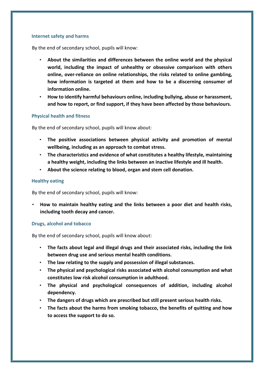#### **Internet safety and harms**

By the end of secondary school, pupils will know:

- **About the similarities and differences between the online world and the physical world, including the impact of unhealthy or obsessive comparison with others online, over-reliance on online relationships, the risks related to online gambling, how information is targeted at them and how to be a discerning consumer of information online.**
- **How to identify harmful behaviours online, including bullying, abuse or harassment, and how to report, or find support, if they have been affected by those behaviours.**

#### **Physical health and fitness**

By the end of secondary school, pupils will know about:

- **The positive associations between physical activity and promotion of mental wellbeing, including as an approach to combat stress.**
- **The characteristics and evidence of what constitutes a healthy lifestyle, maintaining a healthy weight, including the links between an inactive lifestyle and ill health.**
- **About the science relating to blood, organ and stem cell donation.**

#### **Healthy eating**

By the end of secondary school, pupils will know:

• **How to maintain healthy eating and the links between a poor diet and health risks, including tooth decay and cancer.** 

#### **Drugs, alcohol and tobacco**

- **The facts about legal and illegal drugs and their associated risks, including the link between drug use and serious mental health conditions.**
- **The law relating to the supply and possession of illegal substances.**
- **The physical and psychological risks associated with alcohol consumption and what constitutes low risk alcohol consumption in adulthood.**
- **The physical and psychological consequences of addition, including alcohol dependency.**
- **The dangers of drugs which are prescribed but still present serious health risks.**
- **The facts about the harms from smoking tobacco, the benefits of quitting and how to access the support to do so.**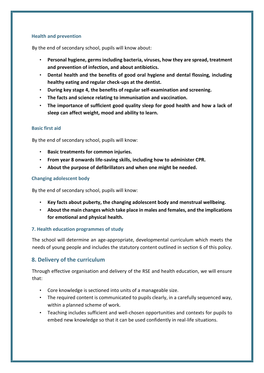## **Health and prevention**

By the end of secondary school, pupils will know about:

- **Personal hygiene, germs including bacteria, viruses, how they are spread, treatment and prevention of infection, and about antibiotics.**
- **Dental health and the benefits of good oral hygiene and dental flossing, including healthy eating and regular check-ups at the dentist.**
- **During key stage 4, the benefits of regular self-examination and screening.**
- **The facts and science relating to immunisation and vaccination.**
- **The importance of sufficient good quality sleep for good health and how a lack of sleep can affect weight, mood and ability to learn.**

## **Basic first aid**

By the end of secondary school, pupils will know:

- **Basic treatments for common injuries.**
- **From year 8 onwards life-saving skills, including how to administer CPR.**
- **About the purpose of defibrillators and when one might be needed.**

## **Changing adolescent body**

By the end of secondary school, pupils will know:

- **Key facts about puberty, the changing adolescent body and menstrual wellbeing.**
- **About the main changes which take place in males and females, and the implications for emotional and physical health.**

#### **7. Health education programmes of study**

The school will determine an age-appropriate, developmental curriculum which meets the needs of young people and includes the statutory content outlined in section 6 of this policy.

# **8. Delivery of the curriculum**

Through effective organisation and delivery of the RSE and health education, we will ensure that:

- Core knowledge is sectioned into units of a manageable size.
- The required content is communicated to pupils clearly, in a carefully sequenced way, within a planned scheme of work.
- Teaching includes sufficient and well-chosen opportunities and contexts for pupils to embed new knowledge so that it can be used confidently in real-life situations.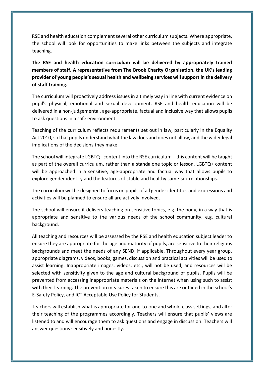RSE and health education complement several other curriculum subjects. Where appropriate, the school will look for opportunities to make links between the subjects and integrate teaching.

**The RSE and health education curriculum will be delivered by appropriately trained members of staff. A representative from The Brook Charity Organisation, the UK's leading provider of young people's sexual health and wellbeing services will support in the delivery of staff training.** 

The curriculum will proactively address issues in a timely way in line with current evidence on pupil's physical, emotional and sexual development. RSE and health education will be delivered in a non-judgemental, age-appropriate, factual and inclusive way that allows pupils to ask questions in a safe environment.

Teaching of the curriculum reflects requirements set out in law, particularly in the Equality Act 2010, so that pupils understand what the law does and does not allow, and the wider legal implications of the decisions they make.

The school will integrate LGBTQ+ content into the RSE curriculum – this content will be taught as part of the overall curriculum, rather than a standalone topic or lesson. LGBTQ+ content will be approached in a sensitive, age-appropriate and factual way that allows pupils to explore gender identity and the features of stable and healthy same-sex relationships.

The curriculum will be designed to focus on pupils of all gender identities and expressions and activities will be planned to ensure all are actively involved.

The school will ensure it delivers teaching on sensitive topics, e.g. the body, in a way that is appropriate and sensitive to the various needs of the school community, e.g. cultural background.

All teaching and resources will be assessed by the RSE and health education subject leader to ensure they are appropriate for the age and maturity of pupils, are sensitive to their religious backgrounds and meet the needs of any SEND, if applicable. Throughout every year group, appropriate diagrams, videos, books, games, discussion and practical activities will be used to assist learning. Inappropriate images, videos, etc., will not be used, and resources will be selected with sensitivity given to the age and cultural background of pupils. Pupils will be prevented from accessing inappropriate materials on the internet when using such to assist with their learning. The prevention measures taken to ensure this are outlined in the school's E-Safety Policy, and ICT Acceptable Use Policy for Students.

Teachers will establish what is appropriate for one-to-one and whole-class settings, and alter their teaching of the programmes accordingly. Teachers will ensure that pupils' views are listened to and will encourage them to ask questions and engage in discussion. Teachers will answer questions sensitively and honestly.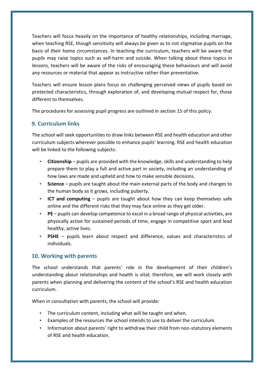Teachers will focus heavily on the importance of healthy relationships, including marriage, when teaching RSE, though sensitivity will always be given as to not stigmatise pupils on the basis of their home circumstances. In teaching the curriculum, teachers will be aware that pupils may raise topics such as self-harm and suicide. When talking about these topics in lessons, teachers will be aware of the risks of encouraging these behaviours and will avoid any resources or material that appear as instructive rather than preventative.

Teachers will ensure lesson plans focus on challenging perceived views of pupils based on protected characteristics, through exploration of, and developing mutual respect for, those different to themselves.

The procedures for assessing pupil progress are outlined in section 15 of this policy.

# **9. Curriculum links**

The school will seek opportunities to draw links between RSE and health education and other curriculum subjects wherever possible to enhance pupils' learning. RSE and health education will be linked to the following subjects:

- **Citizenship** pupils are provided with the knowledge, skills and understanding to help prepare them to play a full and active part in society, including an understanding of how laws are made and upheld and how to make sensible decisions.
- **Science**  pupils are taught about the main external parts of the body and changes to the human body as it grows, including puberty.
- **ICT and computing** pupils are taught about how they can keep themselves safe online and the different risks that they may face online as they get older.
- **PE** pupils can develop competence to excel in a broad range of physical activities, are physically active for sustained periods of time, engage in competitive sport and lead healthy, active lives.
- **PSHE** pupils learn about respect and difference, values and characteristics of individuals.

# **10. Working with parents**

The school understands that parents' role in the development of their children's understanding about relationships and health is vital; therefore, we will work closely with parents when planning and delivering the content of the school's RSE and health education curriculum.

When in consultation with parents, the school will provide:

- The curriculum content, including what will be taught and when.
- Examples of the resources the school intends to use to deliver the curriculum.
- Information about parents' right to withdraw their child from non-statutory elements of RSE and health education.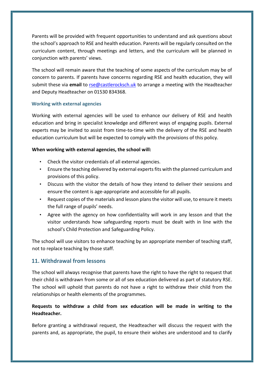Parents will be provided with frequent opportunities to understand and ask questions about the school's approach to RSE and health education. Parents will be regularly consulted on the curriculum content, through meetings and letters, and the curriculum will be planned in conjunction with parents' views.

The school will remain aware that the teaching of some aspects of the curriculum may be of concern to parents. If parents have concerns regarding RSE and health education, they will submit these via email to rse@castlerocksch.uk to arrange a meeting with the Headteacher and Deputy Headteacher on 01530 834368.

## **Working with external agencies**

Working with external agencies will be used to enhance our delivery of RSE and health education and bring in specialist knowledge and different ways of engaging pupils. External experts may be invited to assist from time-to-time with the delivery of the RSE and health education curriculum but will be expected to comply with the provisions of this policy.

## **When working with external agencies, the school will:**

- Check the visitor credentials of all external agencies.
- Ensure the teaching delivered by external experts fits with the planned curriculum and provisions of this policy.
- Discuss with the visitor the details of how they intend to deliver their sessions and ensure the content is age-appropriate and accessible for all pupils.
- Request copies of the materials and lesson plans the visitor will use, to ensure it meets the full range of pupils' needs.
- Agree with the agency on how confidentiality will work in any lesson and that the visitor understands how safeguarding reports must be dealt with in line with the school's Child Protection and Safeguarding Policy.

The school will use visitors to enhance teaching by an appropriate member of teaching staff, not to replace teaching by those staff.

# **11. Withdrawal from lessons**

The school will always recognise that parents have the right to have the right to request that their child is withdrawn from some or all of sex education delivered as part of statutory RSE. The school will uphold that parents do not have a right to withdraw their child from the relationships or health elements of the programmes.

# **Requests to withdraw a child from sex education will be made in writing to the Headteacher.**

Before granting a withdrawal request, the Headteacher will discuss the request with the parents and, as appropriate, the pupil, to ensure their wishes are understood and to clarify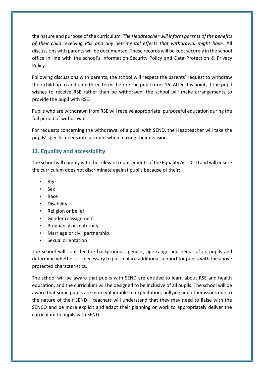the nature and purpose of the curriculum. *The Headteacher will inform parents of the benefits of their child receiving RSE and any detrimental effects that withdrawal might have*. All discussions with parents will be documented. These records will be kept securely in the school office in line with the school's Information Security Policy and Data Protection & Privacy Policy.

Following discussions with parents, the school will respect the parents' request to withdraw their child up to and until three terms before the pupil turns 16. After this point, if the pupil wishes to receive RSE rather than be withdrawn, the school will make arrangements to provide the pupil with RSE.

Pupils who are withdrawn from RSE will receive appropriate, purposeful education during the full period of withdrawal.

For requests concerning the withdrawal of a pupil with SEND, the Headteacher will take the pupils' specific needs into account when making their decision.

# **12. Equality and accessibility**

The school will comply with the relevant requirements of the Equality Act 2010 and will ensure the curriculum does not discriminate against pupils because of their:

- Age
- Sex
- Race
- Disability
- Religion or belief
- Gender reassignment
- Pregnancy or maternity
- Marriage or civil partnership
- Sexual orientation

The school will consider the backgrounds, gender, age range and needs of its pupils and determine whether it is necessary to put in place additional support for pupils with the above protected characteristics.

The school will be aware that pupils with SEND are entitled to learn about RSE and health education, and the curriculum will be designed to be inclusive of all pupils. The school will be aware that some pupils are more vulnerable to exploitation, bullying and other issues due to the nature of their SEND – teachers will understand that they may need to liaise with the SENCO and be more explicit and adapt their planning or work to appropriately deliver the curriculum to pupils with SEND.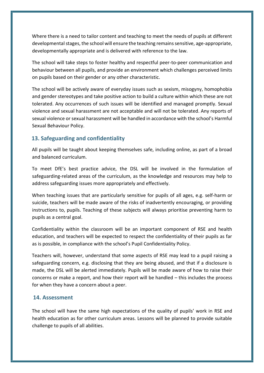Where there is a need to tailor content and teaching to meet the needs of pupils at different developmental stages, the school will ensure the teaching remains sensitive, age-appropriate, developmentally appropriate and is delivered with reference to the law.

The school will take steps to foster healthy and respectful peer-to-peer communication and behaviour between all pupils, and provide an environment which challenges perceived limits on pupils based on their gender or any other characteristic.

The school will be actively aware of everyday issues such as sexism, misogyny, homophobia and gender stereotypes and take positive action to build a culture within which these are not tolerated. Any occurrences of such issues will be identified and managed promptly. Sexual violence and sexual harassment are not acceptable and will not be tolerated. Any reports of sexual violence or sexual harassment will be handled in accordance with the school's Harmful Sexual Behaviour Policy.

# **13. Safeguarding and confidentiality**

All pupils will be taught about keeping themselves safe, including online, as part of a broad and balanced curriculum.

To meet DfE's best practice advice, the DSL will be involved in the formulation of safeguarding-related areas of the curriculum, as the knowledge and resources may help to address safeguarding issues more appropriately and effectively.

When teaching issues that are particularly sensitive for pupils of all ages, e.g. self-harm or suicide, teachers will be made aware of the risks of inadvertently encouraging, or providing instructions to, pupils. Teaching of these subjects will always prioritise preventing harm to pupils as a central goal.

Confidentiality within the classroom will be an important component of RSE and health education, and teachers will be expected to respect the confidentiality of their pupils as far as is possible, in compliance with the school's Pupil Confidentiality Policy.

Teachers will, however, understand that some aspects of RSE may lead to a pupil raising a safeguarding concern, e.g. disclosing that they are being abused, and that if a disclosure is made, the DSL will be alerted immediately. Pupils will be made aware of how to raise their concerns or make a report, and how their report will be handled – this includes the process for when they have a concern about a peer.

# **14. Assessment**

The school will have the same high expectations of the quality of pupils' work in RSE and health education as for other curriculum areas. Lessons will be planned to provide suitable challenge to pupils of all abilities.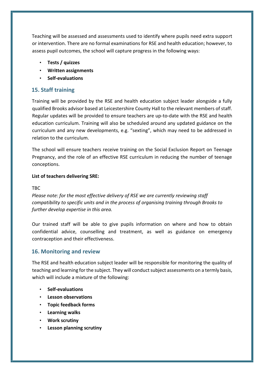Teaching will be assessed and assessments used to identify where pupils need extra support or intervention. There are no formal examinations for RSE and health education; however, to assess pupil outcomes, the school will capture progress in the following ways:

- **Tests / quizzes**
- **Written assignments**
- **Self-evaluations**

# **15. Staff training**

Training will be provided by the RSE and health education subject leader alongside a fully qualified Brooks advisor based at Leicestershire County Hall to the relevant members of staff. Regular updates will be provided to ensure teachers are up-to-date with the RSE and health education curriculum. Training will also be scheduled around any updated guidance on the curriculum and any new developments, e.g. "sexting", which may need to be addressed in relation to the curriculum.

The school will ensure teachers receive training on the Social Exclusion Report on Teenage Pregnancy, and the role of an effective RSE curriculum in reducing the number of teenage conceptions.

## **List of teachers delivering SRE:**

### TBC

*Please note: for the most effective delivery of RSE we are currently reviewing staff compatibility to specific units and in the process of organising training through Brooks to further develop expertise in this area.*

Our trained staff will be able to give pupils information on where and how to obtain confidential advice, counselling and treatment, as well as guidance on emergency contraception and their effectiveness.

# **16. Monitoring and review**

The RSE and health education subject leader will be responsible for monitoring the quality of teaching and learning for the subject. They will conduct subject assessments on a termly basis, which will include a mixture of the following:

- **Self-evaluations**
- **Lesson observations**
- **Topic feedback forms**
- **Learning walks**
- **Work scrutiny**
- **Lesson planning scrutiny**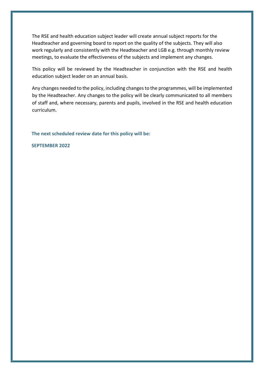The RSE and health education subject leader will create annual subject reports for the Headteacher and governing board to report on the quality of the subjects. They will also work regularly and consistently with the Headteacher and LGB e.g. through monthly review meetings, to evaluate the effectiveness of the subjects and implement any changes.

This policy will be reviewed by the Headteacher in conjunction with the RSE and health education subject leader on an annual basis.

Any changes needed to the policy, including changes to the programmes, will be implemented by the Headteacher. Any changes to the policy will be clearly communicated to all members of staff and, where necessary, parents and pupils, involved in the RSE and health education curriculum.

**The next scheduled review date for this policy will be:** 

**SEPTEMBER 2022**